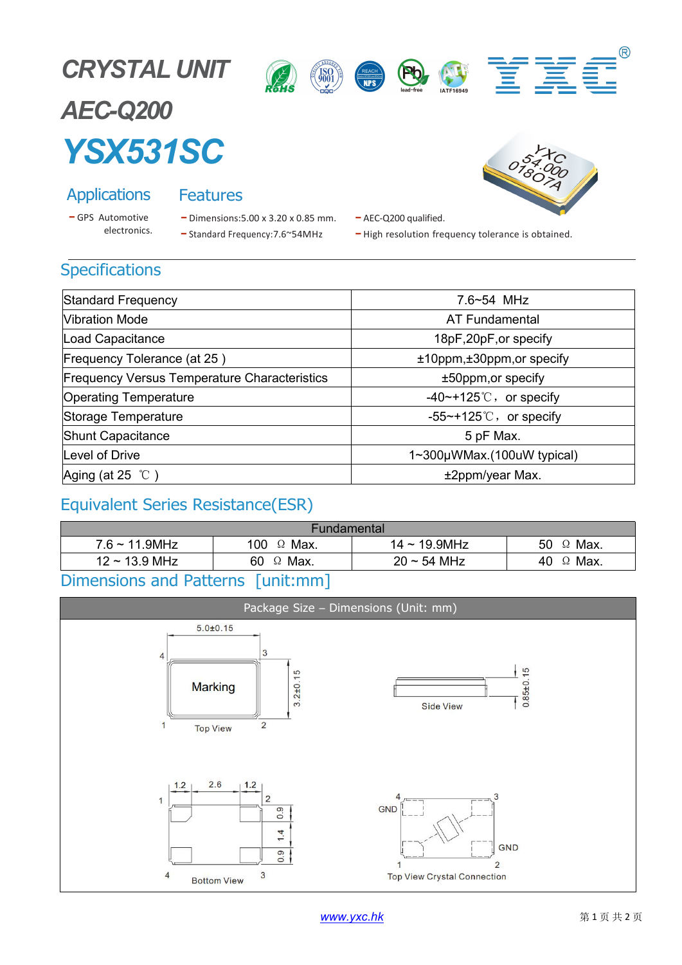





# *AEC-Q200 YSX531SC*

- 
- Applications Features<br>
 GPS Automotive Dimensions: 5.00 x 3.20
	- Cations Features<br>
	utomotive Dimensions:5.00 x 3.20 x 0.85 mm. AEC-Q200 quelectronics.<br>
	 Standard Frequency:7.6~54MHz High resolute



- 
- AEC-Q200 qualified.<br>- High resolution frequency tolerance is obtained.

### **Specifications**

| Standard Frequency                                  | $7.6 - 54$ MHz             |  |  |
|-----------------------------------------------------|----------------------------|--|--|
| Vibration Mode                                      | AT Fundamental             |  |  |
| Load Capacitance                                    | 18pF, 20pF, or specify     |  |  |
| Frequency Tolerance (at 25)                         | ±10ppm,±30ppm,or specify   |  |  |
| <b>Frequency Versus Temperature Characteristics</b> | ±50ppm, or specify         |  |  |
| <b>Operating Temperature</b>                        | $-40$ ~+125°C, or specify  |  |  |
| Storage Temperature                                 | $-55$ ~+125°C, or specify  |  |  |
| <b>Shunt Capacitance</b>                            | 5 pF Max.                  |  |  |
| Level of Drive                                      | 1~300µWMax.(100uW typical) |  |  |
| Aging (at 25 $\degree$ C)                           | ±2ppm/year Max.            |  |  |

### Equivalent Series Resistance(ESR)

| Fundamental                |                         |                    |                    |  |
|----------------------------|-------------------------|--------------------|--------------------|--|
| $7.6 \sim 11.9$ MHz        | 100<br>Max.<br>$\Omega$ | $14 \sim 19.9$ MHz | Max.<br>50<br>- 22 |  |
| $12 \sim 13.9 \text{ MHz}$ | 60<br>Max.<br>Ω         | $20 \sim 54$ MHz   | Max.<br>40<br>-73  |  |
| Dimonsions and Dattorns    | $\Box$ nitimm           |                    |                    |  |

### Dimensions and Patterns | unit:mm |